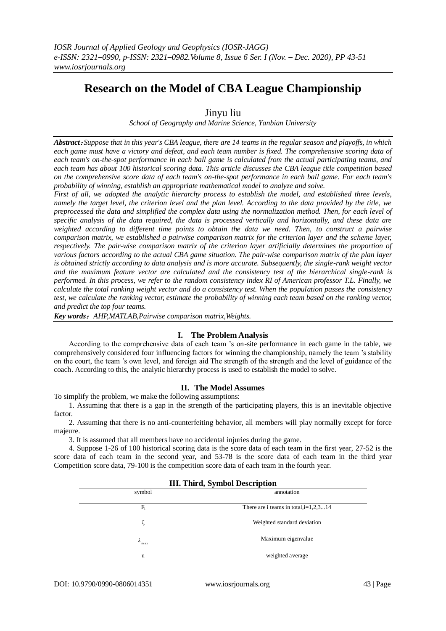# **Research on the Model of CBA League Championship**

# Jinyu liu

*School of Geography and Marine Science, Yanbian University*

*Abstract*:*Suppose that in this year's CBA league, there are 14 teams in the regular season and playoffs, in which each game must have a victory and defeat, and each team number is fixed. The comprehensive scoring data of each team's on-the-spot performance in each ball game is calculated from the actual participating teams, and each team has about 100 historical scoring data. This article discusses the CBA league title competition based on the comprehensive score data of each team's on-the-spot performance in each ball game. For each team's probability of winning, establish an appropriate mathematical model to analyze and solve.*

*First of all, we adopted the analytic hierarchy process to establish the model, and established three levels, namely the target level, the criterion level and the plan level. According to the data provided by the title, we preprocessed the data and simplified the complex data using the normalization method. Then, for each level of specific analysis of the data required, the data is processed vertically and horizontally, and these data are weighted according to different time points to obtain the data we need. Then, to construct a pairwise comparison matrix, we established a pairwise comparison matrix for the criterion layer and the scheme layer, respectively. The pair-wise comparison matrix of the criterion layer artificially determines the proportion of various factors according to the actual CBA game situation. The pair-wise comparison matrix of the plan layer is obtained strictly according to data analysis and is more accurate. Subsequently, the single-rank weight vector and the maximum feature vector are calculated and the consistency test of the hierarchical single-rank is performed. In this process, we refer to the random consistency index RI of American professor T.L. Finally, we calculate the total ranking weight vector and do a consistency test. When the population passes the consistency test, we calculate the ranking vector, estimate the probability of winning each team based on the ranking vector, and predict the top four teams.*

*Key words*:*AHP,MATLAB,Pairwise comparison matrix,Weights.*

# **I. The Problem Analysis**

According to the comprehensive data of each team 's on-site performance in each game in the table, we comprehensively considered four influencing factors for winning the championship, namely the team 's stability on the court, the team 's own level, and foreign aid The strength of the strength and the level of guidance of the coach. According to this, the analytic hierarchy process is used to establish the model to solve.

# **II. The Model Assumes**

To simplify the problem, we make the following assumptions:

1. Assuming that there is a gap in the strength of the participating players, this is an inevitable objective factor.

2. Assuming that there is no anti-counterfeiting behavior, all members will play normally except for force majeure.

3. It is assumed that all members have no accidental injuries during the game.

4. Suppose 1-26 of 100 historical scoring data is the score data of each team in the first year, 27-52 is the score data of each team in the second year, and 53-78 is the score data of each team in the third year Competition score data, 79-100 is the competition score data of each team in the fourth year.

|                  | <b>III. Third, Symbol Description</b>   |
|------------------|-----------------------------------------|
| symbol           | annotation                              |
| F,               | There are i teams in total, $i=1,2,314$ |
|                  | Weighted standard deviation             |
| $\lambda$<br>max | Maximum eigenvalue                      |
| u                | weighted average                        |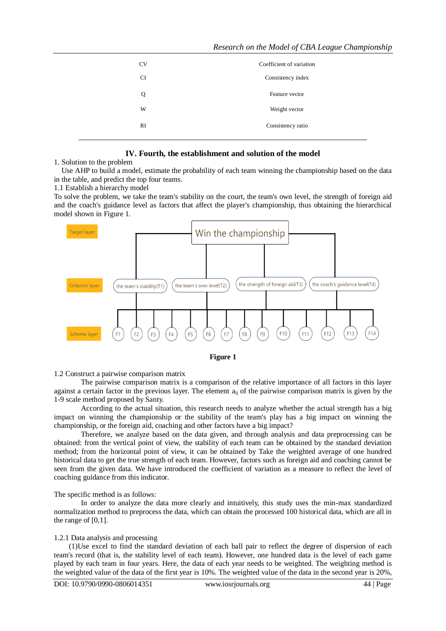| <b>CV</b> | Coefficient of variation |
|-----------|--------------------------|
| <b>CI</b> | Consistency index        |
| Q         | Feature vector           |
| W         | Weight vector            |
| RI        | Consistency ratio        |
|           |                          |

# **IV. Fourth, the establishment and solution of the model**

1. Solution to the problem

 Use AHP to build a model, estimate the probability of each team winning the championship based on the data in the table, and predict the top four teams.

1.1 Establish a hierarchy model

To solve the problem, we take the team's stability on the court, the team's own level, the strength of foreign aid and the coach's guidance level as factors that affect the player's championship, thus obtaining the hierarchical model shown in Figure 1.





#### 1.2 Construct a pairwise comparison matrix

The pairwise comparison matrix is a comparison of the relative importance of all factors in this layer against a certain factor in the previous layer. The element  $a_{ii}$  of the pairwise comparison matrix is given by the 1-9 scale method proposed by Santy.

According to the actual situation, this research needs to analyze whether the actual strength has a big impact on winning the championship or the stability of the team's play has a big impact on winning the championship, or the foreign aid, coaching and other factors have a big impact?

Therefore, we analyze based on the data given, and through analysis and data preprocessing can be obtained: from the vertical point of view, the stability of each team can be obtained by the standard deviation method; from the horizontal point of view, it can be obtained by Take the weighted average of one hundred historical data to get the true strength of each team. However, factors such as foreign aid and coaching cannot be seen from the given data. We have introduced the coefficient of variation as a measure to reflect the level of coaching guidance from this indicator.

#### The specific method is as follows:

In order to analyze the data more clearly and intuitively, this study uses the min-max standardized normalization method to preprocess the data, which can obtain the processed 100 historical data, which are all in the range of [0,1].

# 1.2.1 Data analysis and processing

(1)Use excel to find the standard deviation of each ball pair to reflect the degree of dispersion of each team's record (that is, the stability level of each team). However, one hundred data is the level of each game played by each team in four years. Here, the data of each year needs to be weighted. The weighting method is the weighted value of the data of the first year is 10%. The weighted value of the data in the second year is 20%,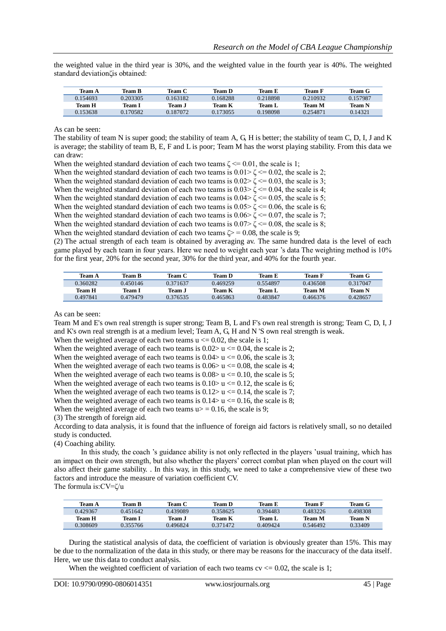the weighted value in the third year is 30%, and the weighted value in the fourth year is 40%. The weighted standard deviationζis obtained:

| Team A   | <b>Team B</b> | Team C   | Team D   | Team E   | Team F   | Team G   |
|----------|---------------|----------|----------|----------|----------|----------|
| 0.154693 | 0.203305      | ).163182 | 0.168288 | 0.218898 | 0.210932 | 0.157987 |
| Team H   | Team 1        | Team .I  | Team K   | Team L   | Team M   | Team N   |
| 0.153638 | 0.170582      | 9.187072 | 0.173055 | 0.198098 | 0.254871 | 0.14321  |

As can be seen:

The stability of team N is super good; the stability of team A, G, H is better; the stability of team C, D, I, J and K is average; the stability of team B, E, F and L is poor; Team M has the worst playing stability. From this data we can draw:

When the weighted standard deviation of each two teams  $\zeta \leq 0.01$ , the scale is 1;

When the weighted standard deviation of each two teams is  $0.01 \ge \zeta \le 0.02$ , the scale is 2;

When the weighted standard deviation of each two teams is  $0.02 \leq \zeta \leq 0.03$ , the scale is 3;

When the weighted standard deviation of each two teams is  $0.03 \ge \zeta \le 0.04$ , the scale is 4;

When the weighted standard deviation of each two teams is  $0.04 > \zeta \le 0.05$ , the scale is 5;

When the weighted standard deviation of each two teams is  $0.05 \times \zeta \le 0.06$ , the scale is 6;

When the weighted standard deviation of each two teams is  $0.06 \ge \zeta \le 0.07$ , the scale is 7;

When the weighted standard deviation of each two teams is  $0.07 > \zeta \le 0.08$ , the scale is 8;

When the weighted standard deviation of each two teams  $\zeta$  = 0.08, the scale is 9;

(2) The actual strength of each team is obtained by averaging av. The same hundred data is the level of each game played by each team in four years. Here we need to weight each year 's data The weighting method is 10% for the first year, 20% for the second year, 30% for the third year, and 40% for the fourth year.

| Team A   | Team R   | Team C   | Team D   | Team E   | Team F   | Team G   |
|----------|----------|----------|----------|----------|----------|----------|
| 0.360282 | 0.450146 | 0.371637 | 0.469259 | 0.554897 | 0.436508 | 0.317047 |
| Team H   | Team I   | Team .1  | Team K   | Team L   | Team M   | Team N   |
| 0.497841 | 0.479479 | 0.376535 | 0.465863 | 0.483847 | 0.466376 | 0.428657 |

As can be seen:

Team M and E's own real strength is super strong; Team B, L and F's own real strength is strong; Team C, D, I, J and K's own real strength is at a medium level; Team A, G, H and N 'S own real strength is weak.

When the weighted average of each two teams  $u \le 0.02$ , the scale is 1;

When the weighted average of each two teams is  $0.02 > u \le 0.04$ , the scale is 2;

When the weighted average of each two teams is  $0.04 \ge u \le 0.06$ , the scale is 3;

When the weighted average of each two teams is  $0.06 > u \le 0.08$ , the scale is 4; When the weighted average of each two teams is  $0.08 > u \le 0.10$ , the scale is 5;

When the weighted average of each two teams is  $0.10 > u \le 0.12$ , the scale is 6;

When the weighted average of each two teams is  $0.12 > u \le 0.14$ , the scale is 7;

When the weighted average of each two teams is  $0.14 > u \le 0.16$ , the scale is 8;

When the weighted average of each two teams  $u$  = 0.16, the scale is 9;

(3) The strength of foreign aid.

According to data analysis, it is found that the influence of foreign aid factors is relatively small, so no detailed study is conducted.

(4) Coaching ability.

In this study, the coach 's guidance ability is not only reflected in the players 'usual training, which has an impact on their own strength, but also whether the players' correct combat plan when played on the court will also affect their game stability. . In this way, in this study, we need to take a comprehensive view of these two factors and introduce the measure of variation coefficient CV.

The formula is:CV=ζ/u

| Team A   | Team B   | Team C   | <b>Team D</b> | Team E   | Team 1   | Team G   |
|----------|----------|----------|---------------|----------|----------|----------|
| 0.429367 | 0.451642 | 0.439089 | 0.358625      | 0.394483 | 0.483226 | 0.498308 |
| Team H   | Team 1   | Team J   | Team K        | Team L   | Team M   | Team N   |
| 0.308609 | 0.355766 | 0.496824 | 0.371472      | 0.409424 | 0.546492 | 0.33409  |

During the statistical analysis of data, the coefficient of variation is obviously greater than 15%. This may be due to the normalization of the data in this study, or there may be reasons for the inaccuracy of the data itself. Here, we use this data to conduct analysis.

When the weighted coefficient of variation of each two teams  $cv \le 0.02$ , the scale is 1;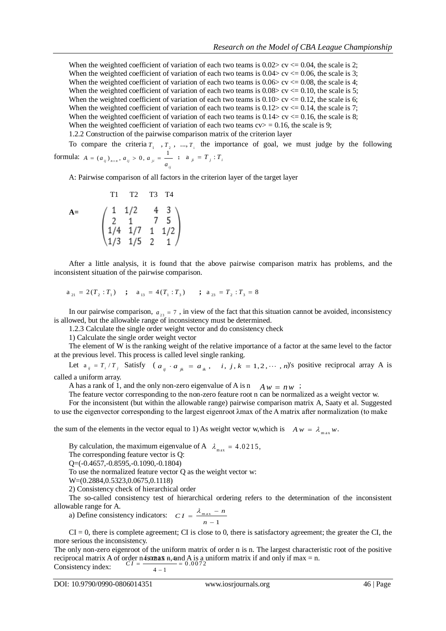When the weighted coefficient of variation of each two teams is  $0.02 > c \vee \leq 0.04$ , the scale is 2; When the weighted coefficient of variation of each two teams is  $0.04 > cv \le 0.06$ , the scale is 3; When the weighted coefficient of variation of each two teams is  $0.06 > cv \le 0.08$ , the scale is 4; When the weighted coefficient of variation of each two teams is  $0.08 > c \le 0.10$ , the scale is 5; When the weighted coefficient of variation of each two teams is  $0.10 > c$  cv  $\leq 0.12$ , the scale is 6; When the weighted coefficient of variation of each two teams is  $0.12 > cv \le 0.14$ , the scale is 7; When the weighted coefficient of variation of each two teams is  $0.14 > cv \le 0.16$ , the scale is 8; When the weighted coefficient of variation of each two teams  $cv$  = 0.16, the scale is 9;

1.2.2 Construction of the pairwise comparison matrix of the criterion layer

To compare the criteria  $T_1, T_2, ..., T_i$  the importance of goal, we must judge by the following formula:  $A = (a_{ij})_{n \times n}$ ,  $a_{ij} > 0$ ,  $a_{ji} = \frac{1}{n}$ ;  $a_{ji} = T_j : T_i$ *i j*  $A = (a_{ij})_{n \times n}, a_{ij} > 0, a_{ji} = \frac{1}{a}$ 

A: Pairwise comparison of all factors in the criterion layer of the target layer

A = 
$$
\begin{pmatrix} 1 & 1/2 & 4 & 3 \ 2 & 1 & 7 & 5 \ 1/4 & 1/7 & 1 & 1/2 \ 1/3 & 1/5 & 2 & 1 \end{pmatrix}
$$

After a little analysis, it is found that the above pairwise comparison matrix has problems, and the inconsistent situation of the pairwise comparison.

$$
a_{_{21}} = 2(T_2 : T_1) \quad ; \quad a_{_{13}} = 4(T_1 : T_3) \quad ; \quad a_{_{23}} = T_2 : T_3 = 8
$$

In our pairwise comparison,  $a_{23} = 7$ , in view of the fact that this situation cannot be avoided, inconsistency is allowed, but the allowable range of inconsistency must be determined.

1.2.3 Calculate the single order weight vector and do consistency check

1) Calculate the single order weight vector

The element of W is the ranking weight of the relative importance of a factor at the same level to the factor at the previous level. This process is called level single ranking.

Let  $a_{ij} = T_i / T_j$  Satisfy (  $a_{ij} \cdot a_{jk} = a_{ik}$ , i, j,  $k = 1, 2, \dots, n$ )'s positive reciprocal array A is

called a uniform array.

A has a rank of 1, and the only non-zero eigenvalue of A is n  $A w = n w$ ;

The feature vector corresponding to the non-zero feature root n can be normalized as a weight vector w.

For the inconsistent (but within the allowable range) pairwise comparison matrix A, Saaty et al. Suggested to use the eigenvector corresponding to the largest eigenroot λmax of the A matrix after normalization (to make

the sum of the elements in the vector equal to 1) As weight vector w, which is  $A w = \lambda_{max} w$ .

By calculation, the maximum eigenvalue of A  $\lambda_{\text{max}} = 4.0215$ ,

The corresponding feature vector is Q:

Q=(-0.4657,-0.8595,-0.1090,-0.1804)

To use the normalized feature vector Q as the weight vector w:

W=(0.2884,0.5323,0.0675,0.1118)

2) Consistency check of hierarchical order

The so-called consistency test of hierarchical ordering refers to the determination of the inconsistent allowable range for A.

a) Define consistency indicators:  $CI = \frac{N_{\text{max}}}{N}$ 1  $CI = \frac{\lambda_{\text{max}} - n}{\lambda_{\text{max}} - n}$ *n*  $=\frac{\lambda_{\max}}{\lambda_{\max}}$  $\overline{a}$ 

 $CI = 0$ , there is complete agreement; CI is close to 0, there is satisfactory agreement; the greater the CI, the more serious the inconsistency.

The only non-zero eigenroot of the uniform matrix of order n is n. The largest characteristic root of the positive reciprocal matrix A of order n **4 s020 AX**  $\overline{a}$ , and A is a uniform matrix if and only if max = n.<br>Consistency index:  $\overline{c}I = \frac{Q(0.072)}{A}$ Consistency index: rder n4s0max  $\frac{a}{2}$  *A* and *f*  $CI = \frac{4-1}{4-1} = 0$ 

$$
\overline{4-1}
$$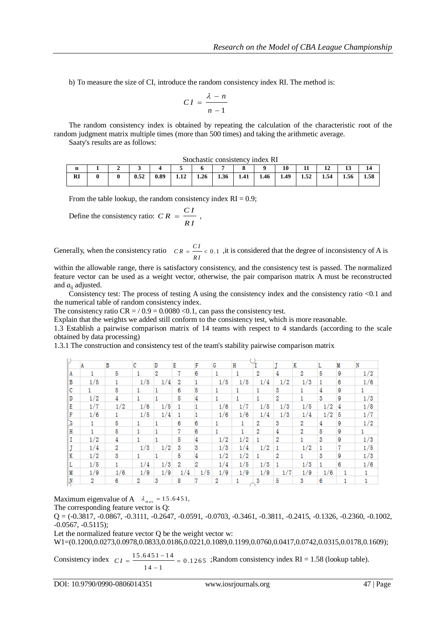b) To measure the size of CI, introduce the random consistency index RI. The method is:

$$
CI = \frac{\lambda - n}{n - 1}
$$

The random consistency index is obtained by repeating the calculation of the characteristic root of the random judgment matrix multiple times (more than 500 times) and taking the arithmetic average.

Saaty's results are as follows:

Stochastic consistency index RI

| ш        |  |      |      |              |      |      |      |      | 10   | 11   | ᅩ    | ∸    | . .  |
|----------|--|------|------|--------------|------|------|------|------|------|------|------|------|------|
| DI<br>M. |  | 0.52 | 0.89 | 1.1A<br>1.14 | 1.26 | 1.36 | 1.41 | 1.46 | 1.49 | 1.52 | 1.54 | 1.56 | 1.58 |

From the table lookup, the random consistency index  $RI = 0.9$ ;

Define the consistency ratio:  $CR = \frac{CI}{C}$ , *R I*  $=$ 

Generally, when the consistency ratio  $CR = \frac{CI}{C} < 0.1$ , it is considered that the degree of inconsistency of A is *R I*  $=$   $-$  <

within the allowable range, there is satisfactory consistency, and the consistency test is passed. The normalized feature vector can be used as a weight vector, otherwise, the pair comparison matrix A must be reconstructed and  $a_{ii}$  adjusted.

Consistency test: The process of testing A using the consistency index and the consistency ratio <0.1 and the numerical table of random consistency index.

The consistency ratio  $CR = 0.9 = 0.0080 < 0.1$ , can pass the consistency test.

Explain that the weights we added still conform to the consistency test, which is more reasonable.

1.3 Establish a pairwise comparison matrix of 14 teams with respect to 4 standards (according to the scale obtained by data processing)

1.3.1 The construction and consistency test of the team's stability pairwise comparison matrix

|    | A   | В   | c   | D   | Е   | F   | G   | H   |     |     | Κ   |     | M | 'N  |
|----|-----|-----|-----|-----|-----|-----|-----|-----|-----|-----|-----|-----|---|-----|
| Α  |     | 5   |     | 2   | 7   | 6   |     |     | 2   | 4   | 2   | 5   | 9 | 1/2 |
| в  | 1/5 |     | 1/5 | 1/4 | 2   |     | 1/5 | 1/5 | 1/4 | 1/2 | 1/3 |     | 6 | 1/6 |
| c  |     | 5   |     |     | 6   | 5   |     |     |     | 3   |     |     | 9 |     |
| D  | 1/2 | 4   |     |     | 5   |     |     |     |     | 2   |     | 3   | 9 | 1/3 |
| Е  | 1/7 | 1/2 | 1/6 | 1/5 |     |     | 1/6 | 1/7 | 1/5 | 1/3 | 1/5 | 1/2 | 4 | 1/8 |
| F  | 1/6 |     | 1/5 | 1/4 |     |     | 1/6 | 1/6 | 1/4 | 1/3 | 1/4 | 1/2 | 5 | 1/7 |
| J  | 1.  | 5   |     |     | 6   | 6   |     | 1   | 2   | 3   | 2   | 4   | 9 | 1/2 |
| н  |     | 5   |     |     | 77  | 6   |     |     | 2   | 4   | 2   | 5   | 9 |     |
| Ι. | 1/2 | 4   |     |     | 5   |     | 1/2 | 1/2 |     | 2   |     | 3   | 9 | 1/3 |
|    | 1/4 | 2   | 1/3 | 1/2 | 3   | s   | 1/3 | 1/4 | 1/2 |     | 1/2 |     | 7 | 1/5 |
| Κ  | 1/2 | 3   |     |     | 5   |     | 1/2 | 1/2 |     | 2   |     | 3   | 9 | 1/3 |
| L  | 1/5 |     | 1/4 | 1/3 | 2   | 2   | 1/4 | 1/5 | 1/3 |     | 1/3 |     | 6 | 1/6 |
| М  | 1/9 | 1/6 | 1/9 | 1/9 | 1/4 | 1/5 | 1/9 | 1/9 | 1/9 | 1/7 | 1/9 | 1/6 |   |     |
| -N | 2   | 6   | 2   | 3   | 8   |     | 2   |     | 3   | 5   | 3   | 6   |   |     |

Maximum eigenvalue of A  $\lambda_{\text{max}} = 15.6451$ ,

The corresponding feature vector is Q:

 $Q = (-0.3817, -0.0867, -0.3111, -0.2647, -0.0591, -0.0703, -0.3461, -0.3811, -0.2415, -0.1326, -0.2360, -0.1002,$ -0.0567, -0.5115);

Let the normalized feature vector Q be the weight vector w:

W1=(0.1200,0.0273,0.0978,0.0833,0.0186,0.0221,0.1089,0.1199,0.0760,0.0417,0.0742,0.0315,0.0178,0.1609);

Consistency index 
$$
CI = \frac{15.6451 - 14}{14 - 1} = 0.1265
$$
; Random consistency index RI = 1.58 (lookup table).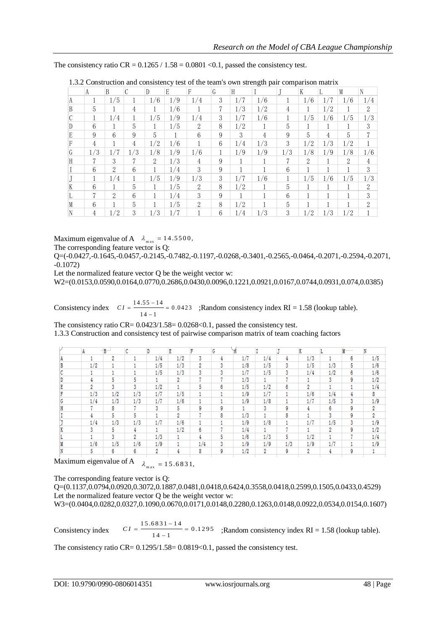|   | $\cdots$       |                |               |                |     |               |   |     | team's own suchgar pan comparison maarix |     |                |     |     |                |
|---|----------------|----------------|---------------|----------------|-----|---------------|---|-----|------------------------------------------|-----|----------------|-----|-----|----------------|
|   | A              | B              | $\mathcal{C}$ | $\overline{D}$ | E.  | F             | G | H   |                                          |     | K              |     | M   | N              |
|   |                | 1/5            | 1.            | 1/6            | 1/9 | 1/4           | 3 | 1/7 | 1/6                                      |     | 1/6            | 1/7 | 1/6 | 1/4            |
| B | 5              |                | 4             |                | 1/6 |               | 7 | 1/3 | 1/2                                      | 4   |                | 1/2 | 1   | 2              |
|   |                | 1/4            | 1             | 1/5            | 1/9 | 1/4           | 3 | 1/7 | 1/6                                      |     | 1/5            | 1/6 | 1/5 | 1/3            |
|   | 6              |                | 5             |                | 1/5 | 2             | 8 | 1/2 |                                          | 5   |                |     |     | 3              |
| E | 9              | 6              | 9             | 5              |     | 6             | 9 | 3   | 4                                        | 9   | 5              | 4   | 5   | 7              |
|   | $\overline{4}$ |                | 4             | 1/2            | 1/6 |               | 6 | 1/4 | 1/3                                      | 3   | 1/2            | 1/3 | 1/2 |                |
| G | 1/3            | 1/7            | 1/3           | 1/8            | 1/9 | 1/6           |   | 1/9 | 1/9                                      | 1/3 | 1/8            | 1/9 | 1/8 | 1/6            |
|   | 7              | 3              | 7             | $\overline{2}$ | 1/3 | 4             | 9 |     |                                          | 7   | $\overline{2}$ |     | 2   | 4              |
|   | 6              | $\mathfrak{D}$ | 6             |                | 1/4 | 3             | 9 |     |                                          | 6   |                |     |     | 3              |
|   | 1              | 1/4            | 1             | 1/5            | 1/9 | 1/3           | 3 | 1/7 | 1/6                                      | 1   | 1/5            | 1/6 | 1/5 | 1/3            |
|   | 6              |                | 5             |                | 1/5 | 2             | 8 | 1/2 |                                          | 5   |                |     |     | $\mathcal{D}$  |
|   | 7              | 2              | 6             |                | 1/4 | 3             | 9 |     |                                          | 6   |                |     |     | 3              |
|   | 6              |                | 5             |                | 1/5 | $\mathcal{L}$ | 8 | 1/2 |                                          | 5   |                |     |     | $\mathfrak{D}$ |
| N | 4              | 1/2            | 3             | 1/3            | 1/7 |               | 6 | 1/4 | 1/3                                      | 3   | 1/2            | 1/3 | 1/2 |                |

| 1.3.2 Construction and consistency test of the team's own strength pair comparison matrix |  |  |  |
|-------------------------------------------------------------------------------------------|--|--|--|
|-------------------------------------------------------------------------------------------|--|--|--|

Maximum eigenvalue of A  $\lambda_{\text{max}} = 14.5500$ ,

The corresponding feature vector is Q:

Q=(-0.0427,-0.1645,-0.0457,-0.2145,-0.7482,-0.1197,-0.0268,-0.3401,-0.2565,-0.0464,-0.2071,-0.2594,-0.2071, -0.1072)

Let the normalized feature vector Q be the weight vector w:

W2=(0.0153,0.0590,0.0164,0.0770,0.2686,0.0430,0.0096,0.1221,0.0921,0.0167,0.0744,0.0931,0.074,0.0385)

Consistency index  $CI = \frac{14.55 - 14}{14.55 - 14} = 0.0423$  ;Random consistency index RI = 1.58 (lookup table).  $14 - 1$  $CI = \frac{14.55 - 14}{14 - 1} = 0$ 

The consistency ratio  $CR = 0.0423/1.58 = 0.0268 < 0.1$ , passed the consistency test.

1.3.3 Construction and consistency test of pairwise comparison matrix of team coaching factors

|     | B   | c   | D   | E   | F   | G |     |     |     | K   |     |   |     |
|-----|-----|-----|-----|-----|-----|---|-----|-----|-----|-----|-----|---|-----|
|     | 2   |     | 1/4 | 1/2 | 3   | 4 | 1/7 | 1/4 | 4   | 1/3 |     | 6 | 1/5 |
| 1/2 |     |     | 1/5 | 1/3 | 2   | 3 | 1/8 | 1/5 | 3   | 1/5 | 1/3 | 5 | 1/6 |
|     |     |     | 1/5 | 1/3 | 3   | 3 | 1/7 | 1/5 | 3   | 1/4 | 1/2 | 6 | 1/6 |
| 4   | 5   | 5   |     | 2   | -   |   | 1/3 |     | 7   |     | 3   | 9 | 1/2 |
| 2   | 3   | 3   | 1/2 |     | 5   | 6 | 1/5 | 1/2 | 6   | 2   |     |   | 1/4 |
| 1/3 | 1/2 | 1/3 | 1/7 | 1/5 |     |   | 1/9 | 1/7 |     | 1/6 | 1/4 |   | 8   |
| 1/4 | 1/3 | 1/3 | 1/7 | 1/6 |     |   | 1/9 | 1/8 |     | 1/7 | 1/5 | 3 | 1/9 |
|     | 8   | 7   | 3   | 5   | 9   | 9 |     | 3   | 9   | 4   | 6   | 9 | 2   |
| 4   | 5   | 5   |     | 2   |     | 8 | 1/3 |     | 8   |     | 3   | 9 | 2   |
| 1/4 | 1/3 | 1/3 | 1/7 | 1/6 |     |   | 1/9 | 1/8 |     | 1/7 | 1/5 | 3 | 1/9 |
| 3   | 5   | 4   | ٠   | 1/2 | 6   |   | 1/4 | ٠   |     |     | 2   | 9 | 1/2 |
|     | 3   | 2   | 1/3 |     | 4   | 5 | 1/6 | 1/3 | 5   | 1/2 |     |   | 1/4 |
| 1/6 | 1/5 | 1/6 | 1/9 |     | 1/4 | 3 | 1/9 | 1/9 | 1/3 | 1/9 | 1/7 |   | 1/9 |
| 5.  | 6   | 6   | 2   | 4   | 8   | 9 | 1/2 | 2   | 9   | 2   |     | 9 |     |

Maximum eigenvalue of A  $\lambda_{\text{max}} = 15.6831$ ,

The corresponding feature vector is Q:

Q=(0.1137,0.0794,0.0920,0.3072,0.1887,0.0481,0.0418,0.6424,0.3558,0.0418,0.2599,0.1505,0.0433,0.4529) Let the normalized feature vector Q be the weight vector w:

W3=(0.0404,0.0282,0.0327,0.1090,0.0670,0.0171,0.0148,0.2280,0.1263,0.0148,0.0922,0.0534,0.0154,0.1607)

Consistency index 
$$
CI = \frac{15.6831 - 14}{14 - 1} = 0.1295
$$
; Random consistency index RI = 1.58 (lookup table).

The consistency ratio CR=  $0.1295/1.58=0.0819<0.1$ , passed the consistency test.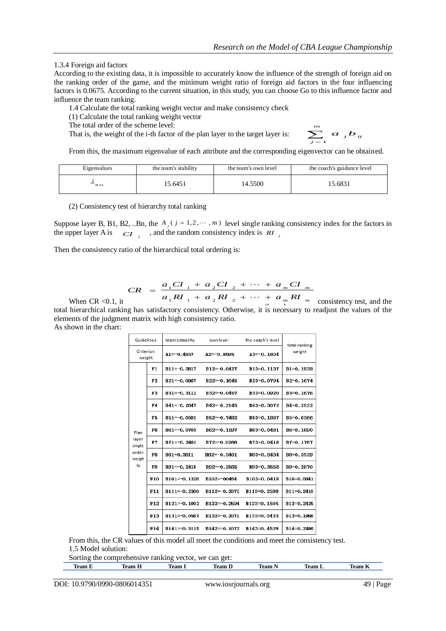1.3.4 Foreign aid factors

According to the existing data, it is impossible to accurately know the influence of the strength of foreign aid on the ranking order of the game, and the minimum weight ratio of foreign aid factors in the four influencing factors is 0.0675. According to the current situation, in this study, you can choose Go to this influence factor and influence the team ranking.

1.4 Calculate the total ranking weight vector and make consistency check

(1) Calculate the total ranking weight vector

The total order of the scheme level:

That is, the weight of the i-th factor of the plan layer to the target layer is:

$$
\sum_{j=1}^m a_j b_{ij}
$$

From this, the maximum eigenvalue of each attribute and the corresponding eigenvector can be obtained.

| Eigenvalues | the team's stability | the team's own level | the coach's guidance level |
|-------------|----------------------|----------------------|----------------------------|
| max         | 15.6451              | 14.5500              | 15.6831                    |

(2) Consistency test of hierarchy total ranking

Suppose layer B, B1, B2, ..Bn, the  $A_j$  ( $j = 1,2, \cdots, m$ ) level single ranking consistency index for the factors in the upper layer A is  $\overrightarrow{CI}$  *j*, and the random consistency index is  $\overrightarrow{RI}$ 

Then the consistency ratio of the hierarchical total ordering is:

$$
CR = \frac{a_1 CI_1 + a_2 CI_2 + \dots + a_m CI_m}{a_1 RI_1 + a_2 RI_2 + \dots + a_m RI_m}
$$

When CR <0.1, it  $a_1 R T_1 + a_2 R T_2 + \cdots + a_m R T_m$  consistency test, and the total hierarchical ranking has satisfactory consistency. Otherwise, it is necessary to readjust the values of the elements of the judgment matrix with high consistency ratio. As shown in the chart:

| <b>Guidelines</b>                                |                 | team's stability<br>own level |                 | the coach's level | <b>Total ranking</b>   |
|--------------------------------------------------|-----------------|-------------------------------|-----------------|-------------------|------------------------|
| Criterion<br>weight                              |                 | $A1=-0.4657$<br>$A2=-0.8595$  |                 | $A3=-0.1804$      | weight                 |
| Plan<br>layer<br>single<br>order<br>weigh<br>-ts | F1              | $B11=-0.3817$                 | $B12 = -0.0427$ | B13=0.1137        | B1=0.1939              |
|                                                  | F2              | $B21 = -0.0867$               | $B22 = 0.1645$  | B23=0.0794        | B <sub>2</sub> =0.1674 |
|                                                  | F3              | $B31 = -0.3111$               | B32=0.0457      | B33=0.0920        | B3=0.1676              |
|                                                  | F4              | $B41 = -0.2647$               | $B42 = -0.2145$ | B43=0.3072        | B4=0.2522              |
|                                                  | F5              | $B51 = -0.0591$               | B52=0.7482      | B53=0.1887        | B5=0.6366              |
|                                                  | F6              | $B61 = -0.0703$               | B62=-0.1197     | B63=0.0481        | B6=0.1690              |
|                                                  | F7              | $B71 = -0.3461$               | $B72 = -0.0268$ | B73=0.0418        | B7=0.1767              |
|                                                  | FR              | B81=0.3811                    | $B82=-0.3401$   | B83=0.6434        | B8=0.3539              |
|                                                  | F9              | $B91 = -0.2415$               | B92=-0.2565     | B93=0.3558        | B9=0.2870              |
|                                                  | F <sub>10</sub> | B101=0.1326                   | B102=-00464     | B103=0.0418       | B10=0.0941             |
|                                                  | F11             | B111=0.2360                   | $B112=-0.2071$  | B113=0.2599       | B11=0.2410             |
|                                                  | F12             | $B121 = 0.1002$               | $B122=-0.2594$  | B123=0.1505       | B12=0.2425             |
|                                                  | F13             | $B131 = 0.0567$               | $B132=-0.2071$  | B133=0.0433       | B13=0.1966             |
|                                                  | F14             | $B141 = 0.5115$               | $B142=-0.1072$  | B143=0.4529       | B14=0.2486             |

From this, the CR values of this model all meet the conditions and meet the consistency test. 1.5 Model solution:

Sorting the comprehensive ranking vector, we can get:

| 1eam | $-100$<br>. | m<br>Team | . aan c | leam. | 'eam | $\sim$<br>. Ann |
|------|-------------|-----------|---------|-------|------|-----------------|
|      |             |           |         |       |      |                 |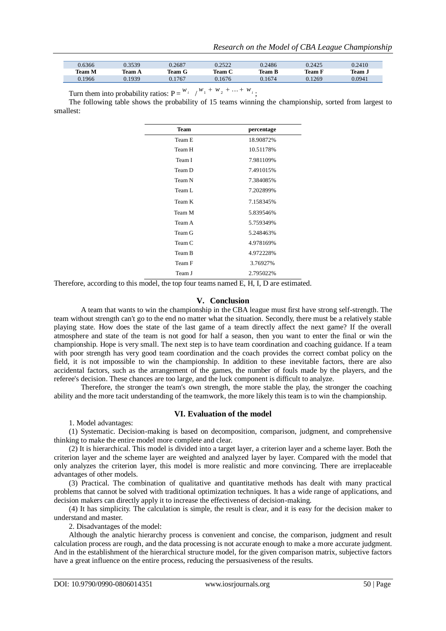| 0.6366        | ) 3530 | 0.2687 | 2522<br>J. <i>L.</i> J <i>LL</i> | 0.2486        | 0.2425 | 0.2410 |
|---------------|--------|--------|----------------------------------|---------------|--------|--------|
| <b>Team M</b> | 'eam A | 1eam G | 'eam C                           | <b>Team B</b> | 1eam F | Team . |
| 0.1966        | 1939   | .1767  | 0.1676                           | 1674          | 0.1269 | 0.0941 |

Turn them into probability ratios:  $P = \frac{w_i}{\sqrt{w_1 + w_2 + \dots + w_i}}$ ;

The following table shows the probability of 15 teams winning the championship, sorted from largest to smallest:

| <b>Team</b> | percentage |
|-------------|------------|
| Team E      | 18.90872%  |
| Team H      | 10.51178%  |
| Team I      | 7.981109%  |
| Team D      | 7.491015%  |
| Team N      | 7.384085%  |
| Team L      | 7.202899%  |
| Team K      | 7.158345%  |
| Team M      | 5.839546%  |
| Team A      | 5.759349%  |
| Team G      | 5.248463%  |
| Team C      | 4.978169%  |
| Team B      | 4.972228%  |
| Team F      | 3.76927%   |
| Team J      | 2.795022%  |

Therefore, according to this model, the top four teams named E, H, I, D are estimated.

#### **V. Conclusion**

A team that wants to win the championship in the CBA league must first have strong self-strength. The team without strength can't go to the end no matter what the situation. Secondly, there must be a relatively stable playing state. How does the state of the last game of a team directly affect the next game? If the overall atmosphere and state of the team is not good for half a season, then you want to enter the final or win the championship. Hope is very small. The next step is to have team coordination and coaching guidance. If a team with poor strength has very good team coordination and the coach provides the correct combat policy on the field, it is not impossible to win the championship. In addition to these inevitable factors, there are also accidental factors, such as the arrangement of the games, the number of fouls made by the players, and the referee's decision. These chances are too large, and the luck component is difficult to analyze.

Therefore, the stronger the team's own strength, the more stable the play, the stronger the coaching ability and the more tacit understanding of the teamwork, the more likely this team is to win the championship.

#### **VI. Evaluation of the model**

1. Model advantages:

(1) Systematic. Decision-making is based on decomposition, comparison, judgment, and comprehensive thinking to make the entire model more complete and clear.

(2) It is hierarchical. This model is divided into a target layer, a criterion layer and a scheme layer. Both the criterion layer and the scheme layer are weighted and analyzed layer by layer. Compared with the model that only analyzes the criterion layer, this model is more realistic and more convincing. There are irreplaceable advantages of other models.

(3) Practical. The combination of qualitative and quantitative methods has dealt with many practical problems that cannot be solved with traditional optimization techniques. It has a wide range of applications, and decision makers can directly apply it to increase the effectiveness of decision-making.

(4) It has simplicity. The calculation is simple, the result is clear, and it is easy for the decision maker to understand and master.

2. Disadvantages of the model:

Although the analytic hierarchy process is convenient and concise, the comparison, judgment and result calculation process are rough, and the data processing is not accurate enough to make a more accurate judgment. And in the establishment of the hierarchical structure model, for the given comparison matrix, subjective factors have a great influence on the entire process, reducing the persuasiveness of the results.